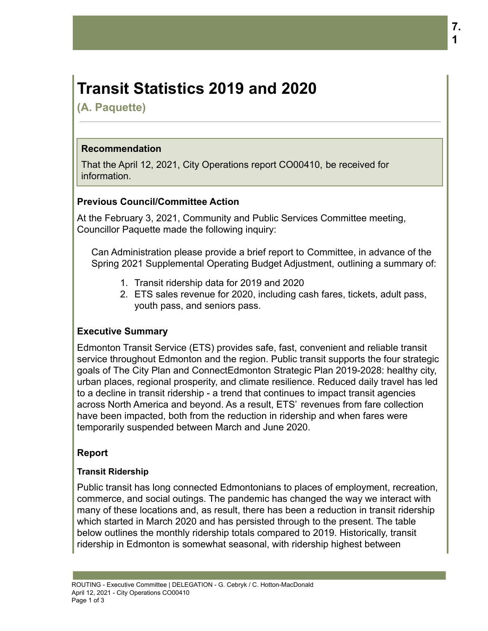# **Transit Statistics 2019 and 2020**

**(A. Paquette)**

#### **Recommendation**

That the April 12, 2021, City Operations report CO00410, be received for information.

#### **Previous Council/Committee Action**

At the February 3, 2021, Community and Public Services Committee meeting, Councillor Paquette made the following inquiry:

Can Administration please provide a brief report to Committee, in advance of the Spring 2021 Supplemental Operating Budget Adjustment, outlining a summary of:

- 1. Transit ridership data for 2019 and 2020
- 2. ETS sales revenue for 2020, including cash fares, tickets, adult pass, youth pass, and seniors pass.

# **Executive Summary**

Edmonton Transit Service (ETS) provides safe, fast, convenient and reliable transit service throughout Edmonton and the region. Public transit supports the four strategic goals of The City Plan and ConnectEdmonton Strategic Plan 2019-2028: healthy city, urban places, regional prosperity, and climate resilience. Reduced daily travel has led to a decline in transit ridership - a trend that continues to impact transit agencies across North America and beyond. As a result, ETS' revenues from fare collection have been impacted, both from the reduction in ridership and when fares were temporarily suspended between March and June 2020.

#### **Report**

#### **Transit Ridership**

Public transit has long connected Edmontonians to places of employment, recreation, commerce, and social outings. The pandemic has changed the way we interact with many of these locations and, as result, there has been a reduction in transit ridership which started in March 2020 and has persisted through to the present. The table below outlines the monthly ridership totals compared to 2019. Historically, transit ridership in Edmonton is somewhat seasonal, with ridership highest between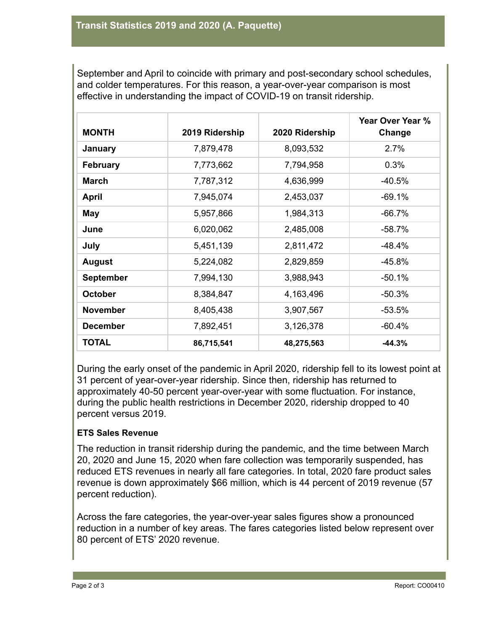September and April to coincide with primary and post-secondary school schedules, and colder temperatures. For this reason, a year-over-year comparison is most effective in understanding the impact of COVID-19 on transit ridership.

| <b>MONTH</b>     | 2019 Ridership | 2020 Ridership | Year Over Year %<br>Change |
|------------------|----------------|----------------|----------------------------|
| January          | 7,879,478      | 8,093,532      | 2.7%                       |
| <b>February</b>  | 7,773,662      | 7,794,958      | 0.3%                       |
| <b>March</b>     | 7,787,312      | 4,636,999      | $-40.5%$                   |
| <b>April</b>     | 7,945,074      | 2,453,037      | $-69.1%$                   |
| May              | 5,957,866      | 1,984,313      | $-66.7%$                   |
| June             | 6,020,062      | 2,485,008      | $-58.7%$                   |
| July             | 5,451,139      | 2,811,472      | -48.4%                     |
| <b>August</b>    | 5,224,082      | 2,829,859      | $-45.8%$                   |
| <b>September</b> | 7,994,130      | 3,988,943      | $-50.1%$                   |
| <b>October</b>   | 8,384,847      | 4,163,496      | $-50.3%$                   |
| <b>November</b>  | 8,405,438      | 3,907,567      | $-53.5%$                   |
| <b>December</b>  | 7,892,451      | 3,126,378      | $-60.4%$                   |
| <b>TOTAL</b>     | 86,715,541     | 48,275,563     | $-44.3%$                   |

During the early onset of the pandemic in April 2020, ridership fell to its lowest point at 31 percent of year-over-year ridership. Since then, ridership has returned to approximately 40-50 percent year-over-year with some fluctuation. For instance, during the public health restrictions in December 2020, ridership dropped to 40 percent versus 2019.

# **ETS Sales Revenue**

The reduction in transit ridership during the pandemic, and the time between March 20, 2020 and June 15, 2020 when fare collection was temporarily suspended, has reduced ETS revenues in nearly all fare categories. In total, 2020 fare product sales revenue is down approximately \$66 million, which is 44 percent of 2019 revenue (57 percent reduction).

Across the fare categories, the year-over-year sales figures show a pronounced reduction in a number of key areas. The fares categories listed below represent over 80 percent of ETS' 2020 revenue.